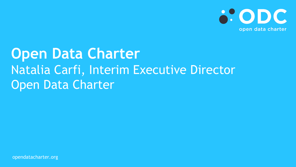

## **Open Data Charter**  Natalia Carfi, Interim Executive Director Open Data Charter

opendatacharter.org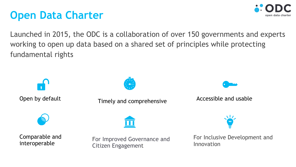## **Open Data Charter**



Launched in 2015, the ODC is a collaboration of over 150 governments and experts working to open up data based on a shared set of principles while protecting fundamental rights

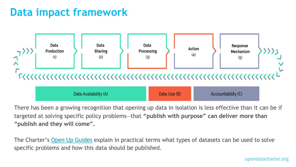#### **Data impact framework**



There has been a growing recognition that opening up data in isolation is less effective than targeted at solving specific policy problems-that "publish with purpose" can deliver more **"publish and they will come".**

The Charter's Open Up Guides explain in practical terms what types of datasets can be used specific problems and how this data should be published.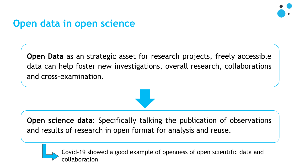

#### **Open data in open science**

**Open Data** as an strategic asset for research projects, freely accessible data can help foster new investigations, overall research, collaborations and cross-examination.



**Open science data**: Specifically talking the publication of observations and results of research in open format for analysis and reuse.

Covid-19 showed a good example of openness of open scientific data and collaboration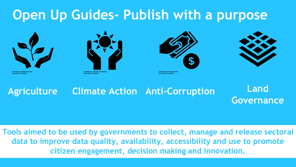## **Open Up Guides- Publish with a purpose**



**Created by Mahmure Alp** from Noun Project



**from Noun Project** 





#### **Agriculture Climate Action Anti-Corruption Land Governance**

**Tools aimed to be used by governments to collect, manage and release sectoral data to improve data quality, availability, accessibility and use to promote citizen engagement, decision making and innovation.**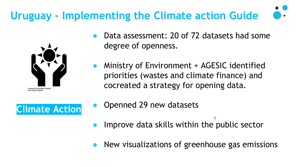## **Uruguay - Implementing the Climate action Guide**



- Data assessment: 20 of 72 datasets had some degree of openness.
- Ministry of Environment + AGESIC identified priorities (wastes and climate finance) and cocreated a strategy for opening data.



- Openned 29 new datasets
- Improve data skills within the public sector
- New visualizations of greenhouse gas emissions

6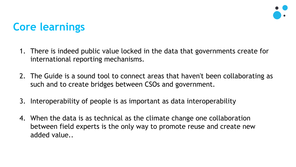

## **Core learnings**

- 1. There is indeed public value locked in the data that governments create for international reporting mechanisms.
- 2. The Guide is a sound tool to connect areas that haven't been collaborating as such and to create bridges between CSOs and government.
- 3. Interoperability of people is as important as data interoperability
- 4. When the data is as technical as the climate change one collaboration between field experts is the only way to promote reuse and create new added value..